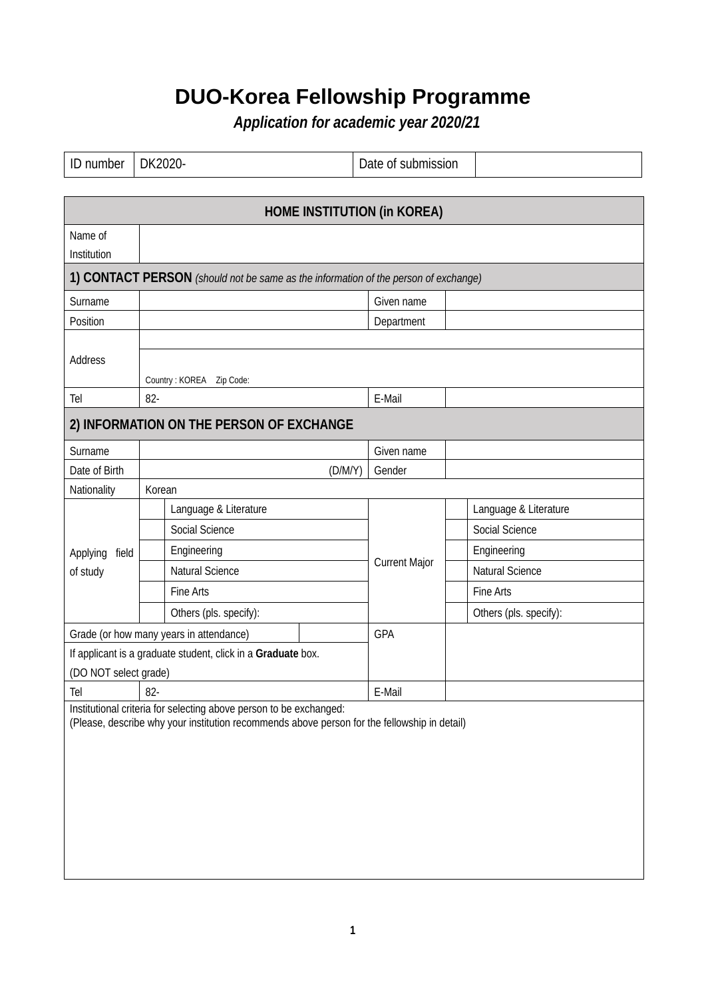## **DUO-Korea Fellowship Programme**

*Application for academic year 2020/21*

| ID number                          | DK2020- |                                                                                                                                                                    |                      | Date of submission     |  |  |  |  |
|------------------------------------|---------|--------------------------------------------------------------------------------------------------------------------------------------------------------------------|----------------------|------------------------|--|--|--|--|
|                                    |         |                                                                                                                                                                    |                      |                        |  |  |  |  |
| <b>HOME INSTITUTION (in KOREA)</b> |         |                                                                                                                                                                    |                      |                        |  |  |  |  |
| Name of<br>Institution             |         |                                                                                                                                                                    |                      |                        |  |  |  |  |
|                                    |         | 1) CONTACT PERSON (should not be same as the information of the person of exchange)                                                                                |                      |                        |  |  |  |  |
| Surname                            |         |                                                                                                                                                                    | Given name           |                        |  |  |  |  |
| Position                           |         |                                                                                                                                                                    | Department           |                        |  |  |  |  |
| Address                            |         | Country: KOREA    Zip Code:                                                                                                                                        |                      |                        |  |  |  |  |
| Tel                                | $82 -$  |                                                                                                                                                                    | E-Mail               |                        |  |  |  |  |
|                                    |         | 2) INFORMATION ON THE PERSON OF EXCHANGE                                                                                                                           |                      |                        |  |  |  |  |
| Surname                            |         |                                                                                                                                                                    | Given name           |                        |  |  |  |  |
| Date of Birth                      |         | (D/M/Y)                                                                                                                                                            | Gender               |                        |  |  |  |  |
| Nationality                        | Korean  |                                                                                                                                                                    |                      |                        |  |  |  |  |
|                                    |         | Language & Literature                                                                                                                                              |                      | Language & Literature  |  |  |  |  |
|                                    |         | Social Science                                                                                                                                                     |                      | Social Science         |  |  |  |  |
| field<br>Applying                  |         | Engineering                                                                                                                                                        |                      | Engineering            |  |  |  |  |
| of study                           |         | Natural Science                                                                                                                                                    | <b>Current Major</b> | <b>Natural Science</b> |  |  |  |  |
|                                    |         | Fine Arts                                                                                                                                                          |                      | Fine Arts              |  |  |  |  |
|                                    |         | Others (pls. specify):                                                                                                                                             |                      | Others (pls. specify): |  |  |  |  |
|                                    |         | Grade (or how many years in attendance)                                                                                                                            | GPA                  |                        |  |  |  |  |
|                                    |         | If applicant is a graduate student, click in a Graduate box.                                                                                                       |                      |                        |  |  |  |  |
| (DO NOT select grade)              |         |                                                                                                                                                                    |                      |                        |  |  |  |  |
| Tel                                | 82-     |                                                                                                                                                                    | E-Mail               |                        |  |  |  |  |
|                                    |         | Institutional criteria for selecting above person to be exchanged:<br>(Please, describe why your institution recommends above person for the fellowship in detail) |                      |                        |  |  |  |  |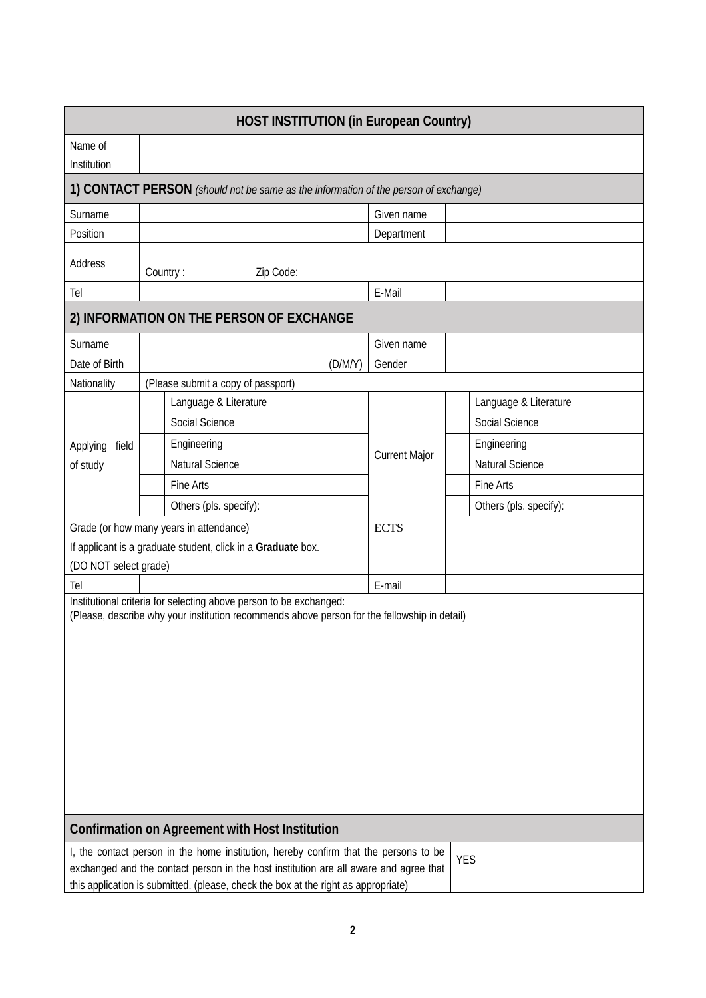| Name of<br>Institution<br>1) CONTACT PERSON (should not be same as the information of the person of exchange)<br>Surname<br>Given name<br>Position<br>Department<br>Address<br>Country:<br>Zip Code:<br>E-Mail<br>Tel<br>2) INFORMATION ON THE PERSON OF EXCHANGE<br>Surname<br>Given name<br>Date of Birth<br>(D/M/Y)<br>Gender<br>Nationality<br>(Please submit a copy of passport)<br>Language & Literature<br>Language & Literature<br>Social Science<br>Social Science<br>Engineering<br>Engineering<br>Applying<br>field<br><b>Current Major</b><br><b>Natural Science</b><br><b>Natural Science</b><br>of study<br>Fine Arts<br>Fine Arts<br>Others (pls. specify):<br>Others (pls. specify):<br>Grade (or how many years in attendance)<br><b>ECTS</b><br>If applicant is a graduate student, click in a Graduate box.<br>(DO NOT select grade)<br>E-mail<br>Tel<br>Institutional criteria for selecting above person to be exchanged:<br>(Please, describe why your institution recommends above person for the fellowship in detail)<br><b>Confirmation on Agreement with Host Institution</b><br>I, the contact person in the home institution, hereby confirm that the persons to be<br><b>YES</b><br>exchanged and the contact person in the host institution are all aware and agree that<br>this application is submitted. (please, check the box at the right as appropriate) | <b>HOST INSTITUTION (in European Country)</b> |  |  |  |  |  |  |  |  |
|-----------------------------------------------------------------------------------------------------------------------------------------------------------------------------------------------------------------------------------------------------------------------------------------------------------------------------------------------------------------------------------------------------------------------------------------------------------------------------------------------------------------------------------------------------------------------------------------------------------------------------------------------------------------------------------------------------------------------------------------------------------------------------------------------------------------------------------------------------------------------------------------------------------------------------------------------------------------------------------------------------------------------------------------------------------------------------------------------------------------------------------------------------------------------------------------------------------------------------------------------------------------------------------------------------------------------------------------------------------------------------------------------|-----------------------------------------------|--|--|--|--|--|--|--|--|
|                                                                                                                                                                                                                                                                                                                                                                                                                                                                                                                                                                                                                                                                                                                                                                                                                                                                                                                                                                                                                                                                                                                                                                                                                                                                                                                                                                                               |                                               |  |  |  |  |  |  |  |  |
|                                                                                                                                                                                                                                                                                                                                                                                                                                                                                                                                                                                                                                                                                                                                                                                                                                                                                                                                                                                                                                                                                                                                                                                                                                                                                                                                                                                               |                                               |  |  |  |  |  |  |  |  |
|                                                                                                                                                                                                                                                                                                                                                                                                                                                                                                                                                                                                                                                                                                                                                                                                                                                                                                                                                                                                                                                                                                                                                                                                                                                                                                                                                                                               |                                               |  |  |  |  |  |  |  |  |
|                                                                                                                                                                                                                                                                                                                                                                                                                                                                                                                                                                                                                                                                                                                                                                                                                                                                                                                                                                                                                                                                                                                                                                                                                                                                                                                                                                                               |                                               |  |  |  |  |  |  |  |  |
|                                                                                                                                                                                                                                                                                                                                                                                                                                                                                                                                                                                                                                                                                                                                                                                                                                                                                                                                                                                                                                                                                                                                                                                                                                                                                                                                                                                               |                                               |  |  |  |  |  |  |  |  |
|                                                                                                                                                                                                                                                                                                                                                                                                                                                                                                                                                                                                                                                                                                                                                                                                                                                                                                                                                                                                                                                                                                                                                                                                                                                                                                                                                                                               |                                               |  |  |  |  |  |  |  |  |
|                                                                                                                                                                                                                                                                                                                                                                                                                                                                                                                                                                                                                                                                                                                                                                                                                                                                                                                                                                                                                                                                                                                                                                                                                                                                                                                                                                                               |                                               |  |  |  |  |  |  |  |  |
|                                                                                                                                                                                                                                                                                                                                                                                                                                                                                                                                                                                                                                                                                                                                                                                                                                                                                                                                                                                                                                                                                                                                                                                                                                                                                                                                                                                               |                                               |  |  |  |  |  |  |  |  |
|                                                                                                                                                                                                                                                                                                                                                                                                                                                                                                                                                                                                                                                                                                                                                                                                                                                                                                                                                                                                                                                                                                                                                                                                                                                                                                                                                                                               |                                               |  |  |  |  |  |  |  |  |
|                                                                                                                                                                                                                                                                                                                                                                                                                                                                                                                                                                                                                                                                                                                                                                                                                                                                                                                                                                                                                                                                                                                                                                                                                                                                                                                                                                                               |                                               |  |  |  |  |  |  |  |  |
|                                                                                                                                                                                                                                                                                                                                                                                                                                                                                                                                                                                                                                                                                                                                                                                                                                                                                                                                                                                                                                                                                                                                                                                                                                                                                                                                                                                               |                                               |  |  |  |  |  |  |  |  |
|                                                                                                                                                                                                                                                                                                                                                                                                                                                                                                                                                                                                                                                                                                                                                                                                                                                                                                                                                                                                                                                                                                                                                                                                                                                                                                                                                                                               |                                               |  |  |  |  |  |  |  |  |
|                                                                                                                                                                                                                                                                                                                                                                                                                                                                                                                                                                                                                                                                                                                                                                                                                                                                                                                                                                                                                                                                                                                                                                                                                                                                                                                                                                                               |                                               |  |  |  |  |  |  |  |  |
|                                                                                                                                                                                                                                                                                                                                                                                                                                                                                                                                                                                                                                                                                                                                                                                                                                                                                                                                                                                                                                                                                                                                                                                                                                                                                                                                                                                               |                                               |  |  |  |  |  |  |  |  |
|                                                                                                                                                                                                                                                                                                                                                                                                                                                                                                                                                                                                                                                                                                                                                                                                                                                                                                                                                                                                                                                                                                                                                                                                                                                                                                                                                                                               |                                               |  |  |  |  |  |  |  |  |
|                                                                                                                                                                                                                                                                                                                                                                                                                                                                                                                                                                                                                                                                                                                                                                                                                                                                                                                                                                                                                                                                                                                                                                                                                                                                                                                                                                                               |                                               |  |  |  |  |  |  |  |  |
|                                                                                                                                                                                                                                                                                                                                                                                                                                                                                                                                                                                                                                                                                                                                                                                                                                                                                                                                                                                                                                                                                                                                                                                                                                                                                                                                                                                               |                                               |  |  |  |  |  |  |  |  |
|                                                                                                                                                                                                                                                                                                                                                                                                                                                                                                                                                                                                                                                                                                                                                                                                                                                                                                                                                                                                                                                                                                                                                                                                                                                                                                                                                                                               |                                               |  |  |  |  |  |  |  |  |
|                                                                                                                                                                                                                                                                                                                                                                                                                                                                                                                                                                                                                                                                                                                                                                                                                                                                                                                                                                                                                                                                                                                                                                                                                                                                                                                                                                                               |                                               |  |  |  |  |  |  |  |  |
|                                                                                                                                                                                                                                                                                                                                                                                                                                                                                                                                                                                                                                                                                                                                                                                                                                                                                                                                                                                                                                                                                                                                                                                                                                                                                                                                                                                               |                                               |  |  |  |  |  |  |  |  |
|                                                                                                                                                                                                                                                                                                                                                                                                                                                                                                                                                                                                                                                                                                                                                                                                                                                                                                                                                                                                                                                                                                                                                                                                                                                                                                                                                                                               |                                               |  |  |  |  |  |  |  |  |
|                                                                                                                                                                                                                                                                                                                                                                                                                                                                                                                                                                                                                                                                                                                                                                                                                                                                                                                                                                                                                                                                                                                                                                                                                                                                                                                                                                                               |                                               |  |  |  |  |  |  |  |  |
|                                                                                                                                                                                                                                                                                                                                                                                                                                                                                                                                                                                                                                                                                                                                                                                                                                                                                                                                                                                                                                                                                                                                                                                                                                                                                                                                                                                               |                                               |  |  |  |  |  |  |  |  |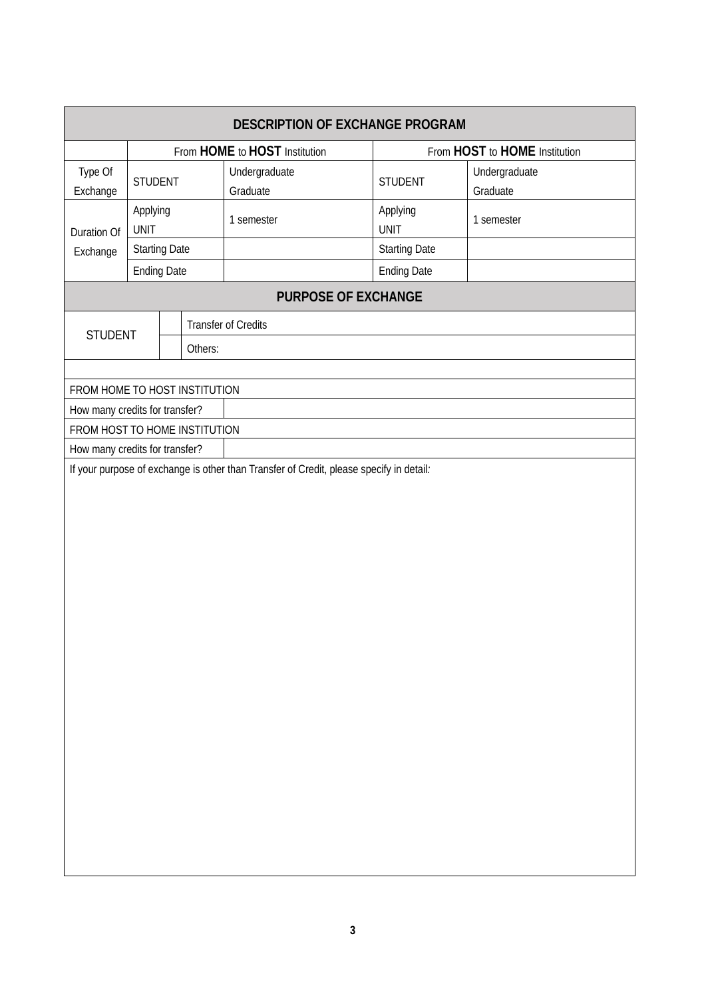| <b>DESCRIPTION OF EXCHANGE PROGRAM</b>                                                  |                         |  |         |                               |                               |                           |  |
|-----------------------------------------------------------------------------------------|-------------------------|--|---------|-------------------------------|-------------------------------|---------------------------|--|
|                                                                                         |                         |  |         | From HOME to HOST Institution | From HOST to HOME Institution |                           |  |
| Type Of<br>Exchange                                                                     | STUDENT                 |  |         | Undergraduate<br>Graduate     | <b>STUDENT</b>                | Undergraduate<br>Graduate |  |
| Duration Of                                                                             | Applying<br><b>UNIT</b> |  |         | 1 semester                    | Applying<br><b>UNIT</b>       | 1 semester                |  |
| Exchange                                                                                | <b>Starting Date</b>    |  |         |                               | <b>Starting Date</b>          |                           |  |
|                                                                                         | <b>Ending Date</b>      |  |         |                               | <b>Ending Date</b>            |                           |  |
|                                                                                         |                         |  |         | <b>PURPOSE OF EXCHANGE</b>    |                               |                           |  |
| <b>STUDENT</b>                                                                          |                         |  |         | Transfer of Credits           |                               |                           |  |
|                                                                                         |                         |  | Others: |                               |                               |                           |  |
|                                                                                         |                         |  |         |                               |                               |                           |  |
| FROM HOME TO HOST INSTITUTION                                                           |                         |  |         |                               |                               |                           |  |
| How many credits for transfer?                                                          |                         |  |         |                               |                               |                           |  |
| FROM HOST TO HOME INSTITUTION                                                           |                         |  |         |                               |                               |                           |  |
| How many credits for transfer?                                                          |                         |  |         |                               |                               |                           |  |
| If your purpose of exchange is other than Transfer of Credit, please specify in detail. |                         |  |         |                               |                               |                           |  |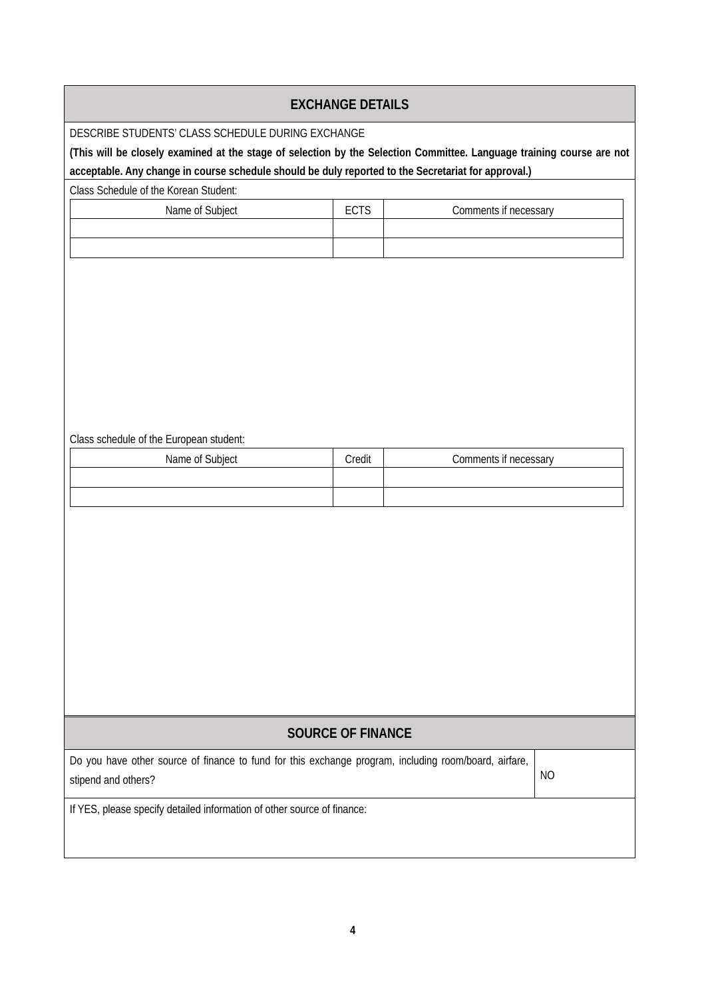## **EXCHANGE DETAILS**

DESCRIBE STUDENTS' CLASS SCHEDULE DURING EXCHANGE

**(This will be closely examined at the stage of selection by the Selection Committee. Language training course are not acceptable. Any change in course schedule should be duly reported to the Secretariat for approval.)**

Class Schedule of the Korean Student:

| Name of Subject | <b>FATA</b><br>ᄂ՝ | Comments if necessary |
|-----------------|-------------------|-----------------------|
|                 |                   |                       |
|                 |                   |                       |

Class schedule of the European student:

| Name of Subject                                                                                       | Credit | Comments if necessary |    |  |  |  |  |
|-------------------------------------------------------------------------------------------------------|--------|-----------------------|----|--|--|--|--|
|                                                                                                       |        |                       |    |  |  |  |  |
|                                                                                                       |        |                       |    |  |  |  |  |
|                                                                                                       |        |                       |    |  |  |  |  |
|                                                                                                       |        |                       |    |  |  |  |  |
|                                                                                                       |        |                       |    |  |  |  |  |
|                                                                                                       |        |                       |    |  |  |  |  |
|                                                                                                       |        |                       |    |  |  |  |  |
|                                                                                                       |        |                       |    |  |  |  |  |
|                                                                                                       |        |                       |    |  |  |  |  |
|                                                                                                       |        |                       |    |  |  |  |  |
|                                                                                                       |        |                       |    |  |  |  |  |
|                                                                                                       |        |                       |    |  |  |  |  |
|                                                                                                       |        |                       |    |  |  |  |  |
|                                                                                                       |        |                       |    |  |  |  |  |
| <b>SOURCE OF FINANCE</b>                                                                              |        |                       |    |  |  |  |  |
| Do you have other source of finance to fund for this exchange program, including room/board, airfare, |        |                       |    |  |  |  |  |
| stipend and others?                                                                                   |        |                       | NO |  |  |  |  |
|                                                                                                       |        |                       |    |  |  |  |  |
| If YES, please specify detailed information of other source of finance:                               |        |                       |    |  |  |  |  |
|                                                                                                       |        |                       |    |  |  |  |  |
|                                                                                                       |        |                       |    |  |  |  |  |